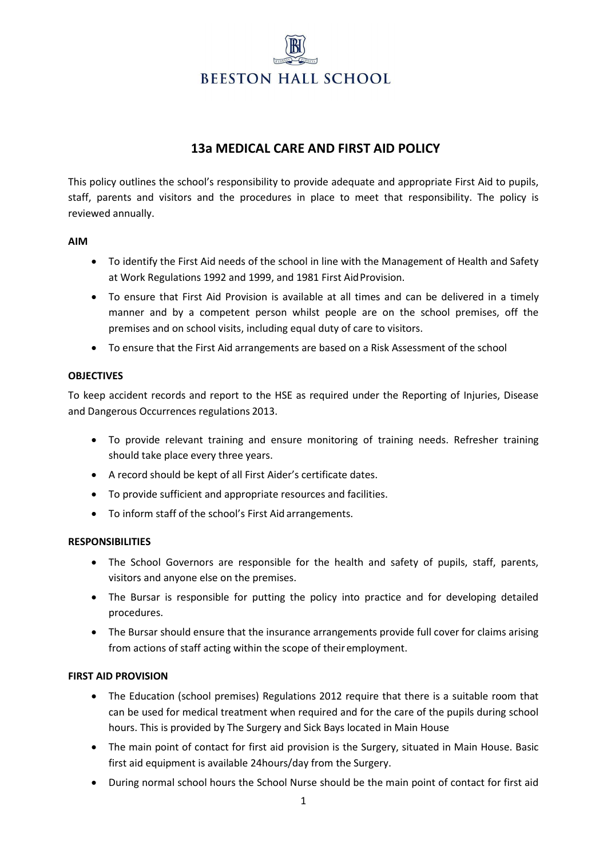# **BEESTON HALL SCHOOL**

# **13a MEDICAL CARE AND FIRST AID POLICY**

This policy outlines the school's responsibility to provide adequate and appropriate First Aid to pupils, staff, parents and visitors and the procedures in place to meet that responsibility. The policy is reviewed annually.

#### **AIM**

- To identify the First Aid needs of the school in line with the Management of Health and Safety at Work Regulations 1992 and 1999, and 1981 First AidProvision.
- To ensure that First Aid Provision is available at all times and can be delivered in a timely manner and by a competent person whilst people are on the school premises, off the premises and on school visits, including equal duty of care to visitors.
- To ensure that the First Aid arrangements are based on a Risk Assessment of the school

## **OBJECTIVES**

To keep accident records and report to the HSE as required under the Reporting of Injuries, Disease and Dangerous Occurrences regulations 2013.

- To provide relevant training and ensure monitoring of training needs. Refresher training should take place every three years.
- A record should be kept of all First Aider's certificate dates.
- To provide sufficient and appropriate resources and facilities.
- To inform staff of the school's First Aid arrangements.

## **RESPONSIBILITIES**

- The School Governors are responsible for the health and safety of pupils, staff, parents, visitors and anyone else on the premises.
- The Bursar is responsible for putting the policy into practice and for developing detailed procedures.
- The Bursar should ensure that the insurance arrangements provide full cover for claims arising from actions of staff acting within the scope of their employment.

## **FIRST AID PROVISION**

- The Education (school premises) Regulations 2012 require that there is a suitable room that can be used for medical treatment when required and for the care of the pupils during school hours. This is provided by The Surgery and Sick Bays located in Main House
- The main point of contact for first aid provision is the Surgery, situated in Main House. Basic first aid equipment is available 24hours/day from the Surgery.
- During normal school hours the School Nurse should be the main point of contact for first aid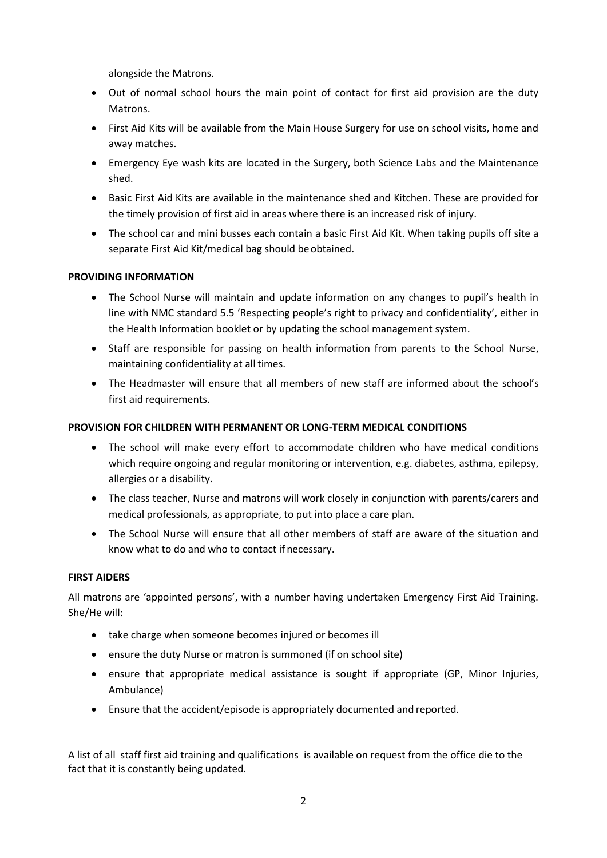alongside the Matrons.

- Out of normal school hours the main point of contact for first aid provision are the duty Matrons.
- First Aid Kits will be available from the Main House Surgery for use on school visits, home and away matches.
- Emergency Eye wash kits are located in the Surgery, both Science Labs and the Maintenance shed.
- Basic First Aid Kits are available in the maintenance shed and Kitchen. These are provided for the timely provision of first aid in areas where there is an increased risk of injury.
- The school car and mini busses each contain a basic First Aid Kit. When taking pupils off site a separate First Aid Kit/medical bag should beobtained.

## **PROVIDING INFORMATION**

- The School Nurse will maintain and update information on any changes to pupil's health in line with NMC standard 5.5 'Respecting people's right to privacy and confidentiality', either in the Health Information booklet or by updating the school management system.
- Staff are responsible for passing on health information from parents to the School Nurse, maintaining confidentiality at all times.
- The Headmaster will ensure that all members of new staff are informed about the school's first aid requirements.

#### **PROVISION FOR CHILDREN WITH PERMANENT OR LONG-TERM MEDICAL CONDITIONS**

- The school will make every effort to accommodate children who have medical conditions which require ongoing and regular monitoring or intervention, e.g. diabetes, asthma, epilepsy, allergies or a disability.
- The class teacher, Nurse and matrons will work closely in conjunction with parents/carers and medical professionals, as appropriate, to put into place a care plan.
- The School Nurse will ensure that all other members of staff are aware of the situation and know what to do and who to contact if necessary.

#### **FIRST AIDERS**

All matrons are 'appointed persons', with a number having undertaken Emergency First Aid Training. She/He will:

- take charge when someone becomes injured or becomes ill
- ensure the duty Nurse or matron is summoned (if on school site)
- ensure that appropriate medical assistance is sought if appropriate (GP, Minor Injuries, Ambulance)
- Ensure that the accident/episode is appropriately documented and reported.

A list of all staff first aid training and qualifications is available on request from the office die to the fact that it is constantly being updated.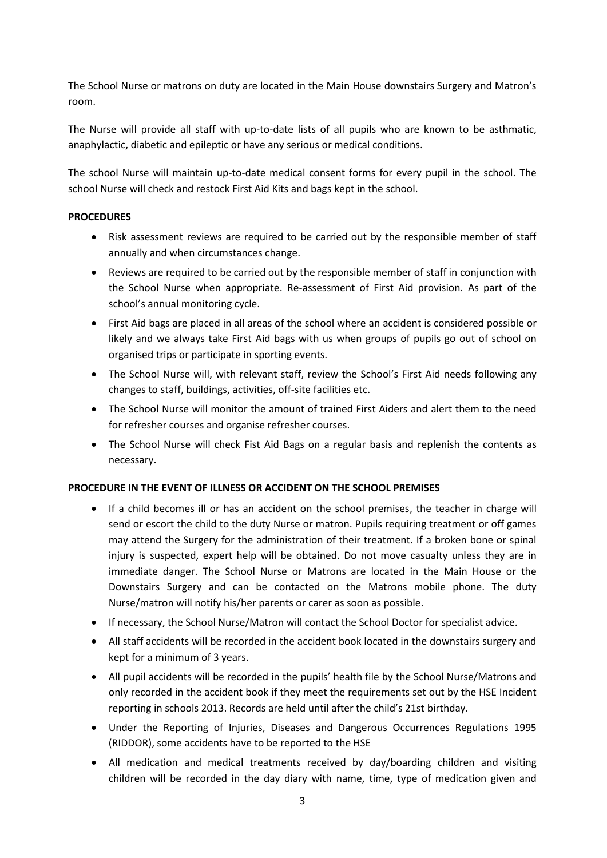The School Nurse or matrons on duty are located in the Main House downstairs Surgery and Matron's room.

The Nurse will provide all staff with up-to-date lists of all pupils who are known to be asthmatic, anaphylactic, diabetic and epileptic or have any serious or medical conditions.

The school Nurse will maintain up-to-date medical consent forms for every pupil in the school. The school Nurse will check and restock First Aid Kits and bags kept in the school.

#### **PROCEDURES**

- Risk assessment reviews are required to be carried out by the responsible member of staff annually and when circumstances change.
- Reviews are required to be carried out by the responsible member of staff in conjunction with the School Nurse when appropriate. Re-assessment of First Aid provision. As part of the school's annual monitoring cycle.
- First Aid bags are placed in all areas of the school where an accident is considered possible or likely and we always take First Aid bags with us when groups of pupils go out of school on organised trips or participate in sporting events.
- The School Nurse will, with relevant staff, review the School's First Aid needs following any changes to staff, buildings, activities, off-site facilities etc.
- The School Nurse will monitor the amount of trained First Aiders and alert them to the need for refresher courses and organise refresher courses.
- The School Nurse will check Fist Aid Bags on a regular basis and replenish the contents as necessary.

## **PROCEDURE IN THE EVENT OF ILLNESS OR ACCIDENT ON THE SCHOOL PREMISES**

- If a child becomes ill or has an accident on the school premises, the teacher in charge will send or escort the child to the duty Nurse or matron. Pupils requiring treatment or off games may attend the Surgery for the administration of their treatment. If a broken bone or spinal injury is suspected, expert help will be obtained. Do not move casualty unless they are in immediate danger. The School Nurse or Matrons are located in the Main House or the Downstairs Surgery and can be contacted on the Matrons mobile phone. The duty Nurse/matron will notify his/her parents or carer as soon as possible.
- If necessary, the School Nurse/Matron will contact the School Doctor for specialist advice.
- All staff accidents will be recorded in the accident book located in the downstairs surgery and kept for a minimum of 3 years.
- All pupil accidents will be recorded in the pupils' health file by the School Nurse/Matrons and only recorded in the accident book if they meet the requirements set out by the HSE Incident reporting in schools 2013. Records are held until after the child's 21st birthday.
- Under the Reporting of Injuries, Diseases and Dangerous Occurrences Regulations 1995 (RIDDOR), some accidents have to be reported to the HSE
- All medication and medical treatments received by day/boarding children and visiting children will be recorded in the day diary with name, time, type of medication given and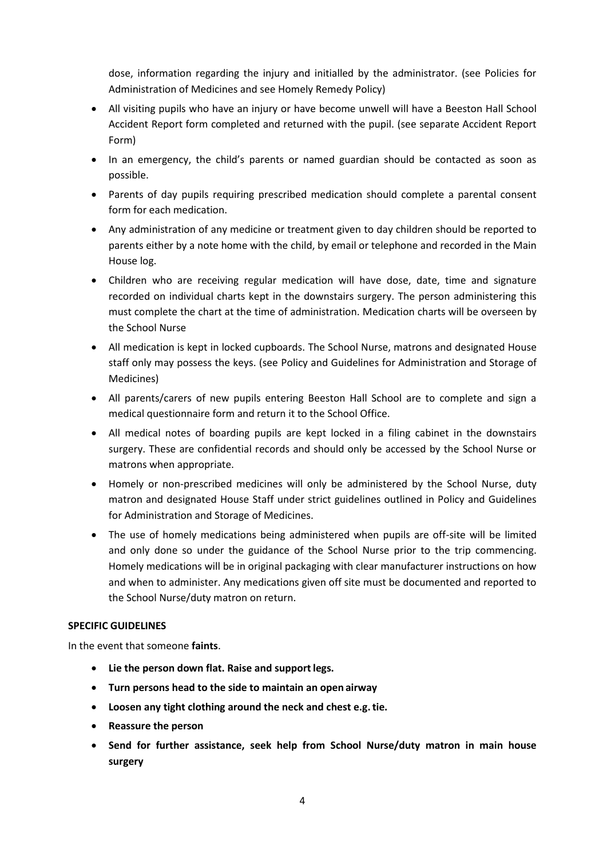dose, information regarding the injury and initialled by the administrator. (see Policies for Administration of Medicines and see Homely Remedy Policy)

- All visiting pupils who have an injury or have become unwell will have a Beeston Hall School Accident Report form completed and returned with the pupil. (see separate Accident Report Form)
- In an emergency, the child's parents or named guardian should be contacted as soon as possible.
- Parents of day pupils requiring prescribed medication should complete a parental consent form for each medication.
- Any administration of any medicine or treatment given to day children should be reported to parents either by a note home with the child, by email or telephone and recorded in the Main House log.
- Children who are receiving regular medication will have dose, date, time and signature recorded on individual charts kept in the downstairs surgery. The person administering this must complete the chart at the time of administration. Medication charts will be overseen by the School Nurse
- All medication is kept in locked cupboards. The School Nurse, matrons and designated House staff only may possess the keys. (see Policy and Guidelines for Administration and Storage of Medicines)
- All parents/carers of new pupils entering Beeston Hall School are to complete and sign a medical questionnaire form and return it to the School Office.
- All medical notes of boarding pupils are kept locked in a filing cabinet in the downstairs surgery. These are confidential records and should only be accessed by the School Nurse or matrons when appropriate.
- Homely or non-prescribed medicines will only be administered by the School Nurse, duty matron and designated House Staff under strict guidelines outlined in Policy and Guidelines for Administration and Storage of Medicines.
- The use of homely medications being administered when pupils are off-site will be limited and only done so under the guidance of the School Nurse prior to the trip commencing. Homely medications will be in original packaging with clear manufacturer instructions on how and when to administer. Any medications given off site must be documented and reported to the School Nurse/duty matron on return.

## **SPECIFIC GUIDELINES**

In the event that someone **faints**.

- **Lie the person down flat. Raise and supportlegs.**
- **Turn persons head to the side to maintain an open airway**
- **Loosen any tight clothing around the neck and chest e.g.tie.**
- **Reassure the person**
- **Send for further assistance, seek help from School Nurse/duty matron in main house surgery**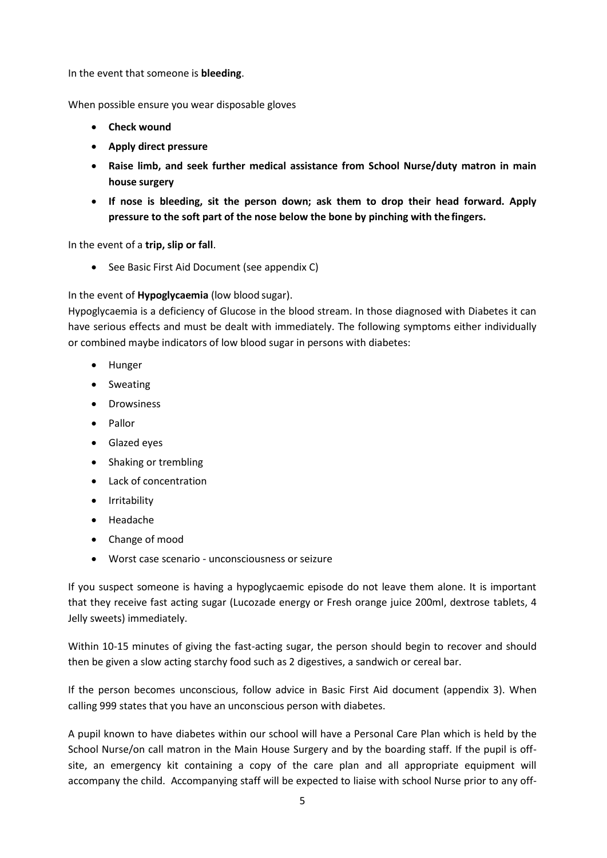In the event that someone is **bleeding**.

When possible ensure you wear disposable gloves

- **Check wound**
- **Apply direct pressure**
- **Raise limb, and seek further medical assistance from School Nurse/duty matron in main house surgery**
- **If nose is bleeding, sit the person down; ask them to drop their head forward. Apply pressure to the soft part of the nose below the bone by pinching with the fingers.**

In the event of a **trip, slip or fall**.

• See Basic First Aid Document (see appendix C)

In the event of **Hypoglycaemia** (low blood sugar).

Hypoglycaemia is a deficiency of Glucose in the blood stream. In those diagnosed with Diabetes it can have serious effects and must be dealt with immediately. The following symptoms either individually or combined maybe indicators of low blood sugar in persons with diabetes:

- Hunger
- Sweating
- Drowsiness
- Pallor
- Glazed eyes
- Shaking or trembling
- Lack of concentration
- Irritability
- Headache
- Change of mood
- Worst case scenario unconsciousness or seizure

If you suspect someone is having a hypoglycaemic episode do not leave them alone. It is important that they receive fast acting sugar (Lucozade energy or Fresh orange juice 200ml, dextrose tablets, 4 Jelly sweets) immediately.

Within 10-15 minutes of giving the fast-acting sugar, the person should begin to recover and should then be given a slow acting starchy food such as 2 digestives, a sandwich or cereal bar.

If the person becomes unconscious, follow advice in Basic First Aid document (appendix 3). When calling 999 states that you have an unconscious person with diabetes.

A pupil known to have diabetes within our school will have a Personal Care Plan which is held by the School Nurse/on call matron in the Main House Surgery and by the boarding staff. If the pupil is offsite, an emergency kit containing a copy of the care plan and all appropriate equipment will accompany the child. Accompanying staff will be expected to liaise with school Nurse prior to any off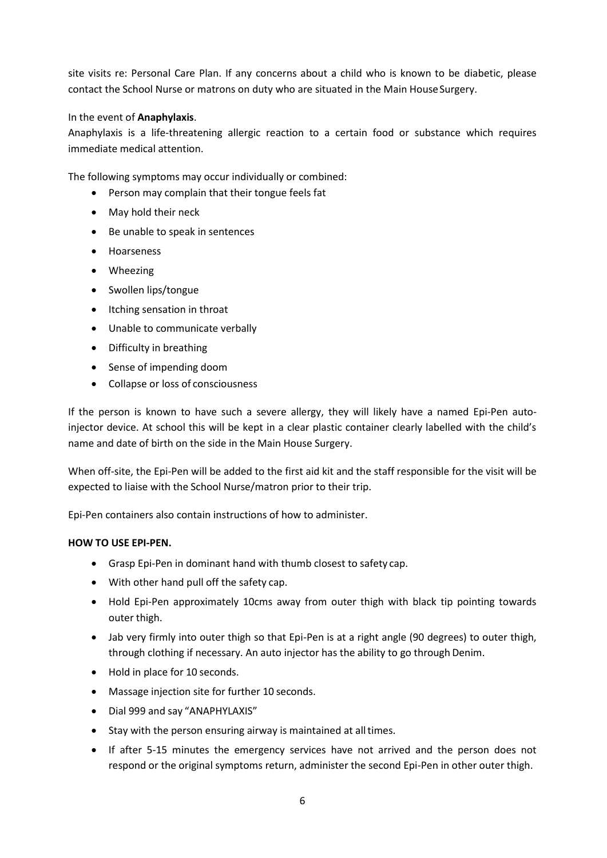site visits re: Personal Care Plan. If any concerns about a child who is known to be diabetic, please contact the School Nurse or matrons on duty who are situated in the Main House Surgery.

#### In the event of **Anaphylaxis**.

Anaphylaxis is a life-threatening allergic reaction to a certain food or substance which requires immediate medical attention.

The following symptoms may occur individually or combined:

- Person may complain that their tongue feels fat
- May hold their neck
- Be unable to speak in sentences
- Hoarseness
- Wheezing
- Swollen lips/tongue
- Itching sensation in throat
- Unable to communicate verbally
- Difficulty in breathing
- Sense of impending doom
- Collapse or loss of consciousness

If the person is known to have such a severe allergy, they will likely have a named Epi-Pen autoinjector device. At school this will be kept in a clear plastic container clearly labelled with the child's name and date of birth on the side in the Main House Surgery.

When off-site, the Epi-Pen will be added to the first aid kit and the staff responsible for the visit will be expected to liaise with the School Nurse/matron prior to their trip.

Epi-Pen containers also contain instructions of how to administer.

#### **HOW TO USE EPI-PEN.**

- Grasp Epi-Pen in dominant hand with thumb closest to safety cap.
- With other hand pull off the safety cap.
- Hold Epi-Pen approximately 10cms away from outer thigh with black tip pointing towards outer thigh.
- Jab very firmly into outer thigh so that Epi-Pen is at a right angle (90 degrees) to outer thigh, through clothing if necessary. An auto injector has the ability to go through Denim.
- Hold in place for 10 seconds.
- Massage injection site for further 10 seconds.
- Dial 999 and say "ANAPHYLAXIS"
- Stay with the person ensuring airway is maintained at all times.
- If after 5-15 minutes the emergency services have not arrived and the person does not respond or the original symptoms return, administer the second Epi-Pen in other outer thigh.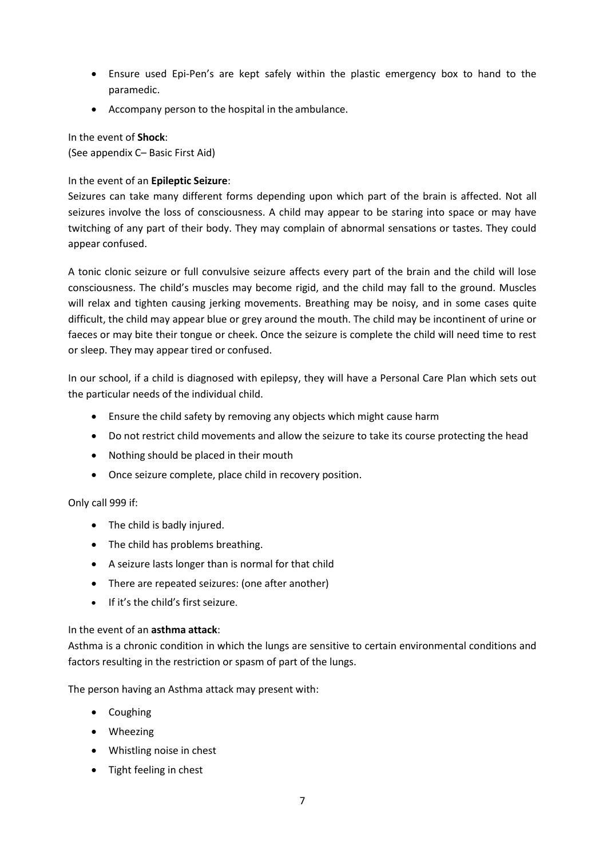- Ensure used Epi-Pen's are kept safely within the plastic emergency box to hand to the paramedic.
- Accompany person to the hospital in the ambulance.

In the event of **Shock**: (See appendix C– Basic First Aid)

# In the event of an **Epileptic Seizure**:

Seizures can take many different forms depending upon which part of the brain is affected. Not all seizures involve the loss of consciousness. A child may appear to be staring into space or may have twitching of any part of their body. They may complain of abnormal sensations or tastes. They could appear confused.

A tonic clonic seizure or full convulsive seizure affects every part of the brain and the child will lose consciousness. The child's muscles may become rigid, and the child may fall to the ground. Muscles will relax and tighten causing jerking movements. Breathing may be noisy, and in some cases quite difficult, the child may appear blue or grey around the mouth. The child may be incontinent of urine or faeces or may bite their tongue or cheek. Once the seizure is complete the child will need time to rest or sleep. They may appear tired or confused.

In our school, if a child is diagnosed with epilepsy, they will have a Personal Care Plan which sets out the particular needs of the individual child.

- Ensure the child safety by removing any objects which might cause harm
- Do not restrict child movements and allow the seizure to take its course protecting the head
- Nothing should be placed in their mouth
- Once seizure complete, place child in recovery position.

## Only call 999 if:

- The child is badly injured.
- The child has problems breathing.
- A seizure lasts longer than is normal for that child
- There are repeated seizures: (one after another)
- If it's the child's first seizure.

## In the event of an **asthma attack**:

Asthma is a chronic condition in which the lungs are sensitive to certain environmental conditions and factors resulting in the restriction or spasm of part of the lungs.

The person having an Asthma attack may present with:

- Coughing
- Wheezing
- Whistling noise in chest
- Tight feeling in chest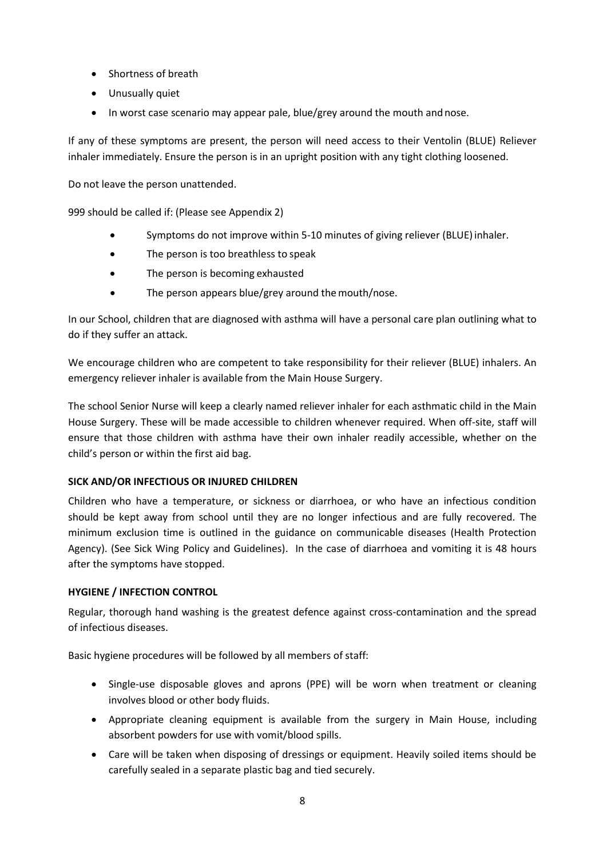- Shortness of breath
- Unusually quiet
- In worst case scenario may appear pale, blue/grey around the mouth and nose.

If any of these symptoms are present, the person will need access to their Ventolin (BLUE) Reliever inhaler immediately. Ensure the person is in an upright position with any tight clothing loosened.

Do not leave the person unattended.

999 should be called if: (Please see Appendix 2)

- Symptoms do not improve within 5-10 minutes of giving reliever (BLUE) inhaler.
- The person is too breathless to speak
- The person is becoming exhausted
- The person appears blue/grey around the mouth/nose.

In our School, children that are diagnosed with asthma will have a personal care plan outlining what to do if they suffer an attack.

We encourage children who are competent to take responsibility for their reliever (BLUE) inhalers. An emergency reliever inhaler is available from the Main House Surgery.

The school Senior Nurse will keep a clearly named reliever inhaler for each asthmatic child in the Main House Surgery. These will be made accessible to children whenever required. When off-site, staff will ensure that those children with asthma have their own inhaler readily accessible, whether on the child's person or within the first aid bag.

## **SICK AND/OR INFECTIOUS OR INJURED CHILDREN**

Children who have a temperature, or sickness or diarrhoea, or who have an infectious condition should be kept away from school until they are no longer infectious and are fully recovered. The minimum exclusion time is outlined in the guidance on communicable diseases (Health Protection Agency). (See Sick Wing Policy and Guidelines). In the case of diarrhoea and vomiting it is 48 hours after the symptoms have stopped.

## **HYGIENE / INFECTION CONTROL**

Regular, thorough hand washing is the greatest defence against cross-contamination and the spread of infectious diseases.

Basic hygiene procedures will be followed by all members of staff:

- Single-use disposable gloves and aprons (PPE) will be worn when treatment or cleaning involves blood or other body fluids.
- Appropriate cleaning equipment is available from the surgery in Main House, including absorbent powders for use with vomit/blood spills.
- Care will be taken when disposing of dressings or equipment. Heavily soiled items should be carefully sealed in a separate plastic bag and tied securely.